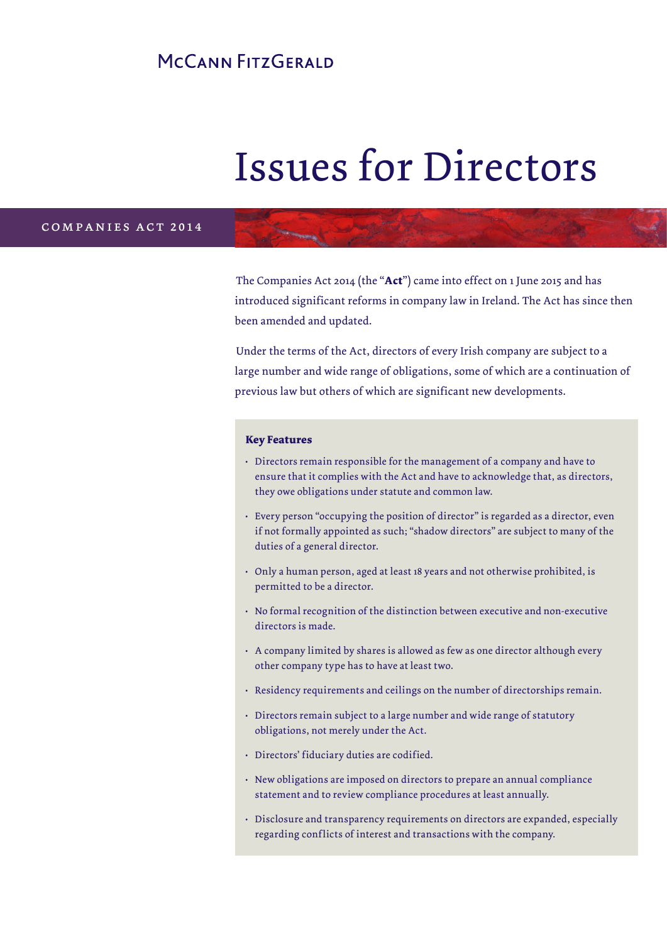# MCCANN FITZGERALD

# Issues for Directors

#### companies act 2014

The Companies Act 2014 (the "**Act**") came into effect on 1 June 2015 and has introduced significant reforms in company law in Ireland. The Act has since then been amended and updated.

Under the terms of the Act, directors of every Irish company are subject to a large number and wide range of obligations, some of which are a continuation of previous law but others of which are significant new developments.

#### **Key Features**

- Directors remain responsible for the management of a company and have to ensure that it complies with the Act and have to acknowledge that, as directors, they owe obligations under statute and common law.
- Every person "occupying the position of director" is regarded as a director, even if not formally appointed as such; "shadow directors" are subject to many of the duties of a general director.
- Only a human person, aged at least 18 years and not otherwise prohibited, is permitted to be a director.
- No formal recognition of the distinction between executive and non-executive directors is made.
- A company limited by shares is allowed as few as one director although every other company type has to have at least two.
- Residency requirements and ceilings on the number of directorships remain.
- Directors remain subject to a large number and wide range of statutory obligations, not merely under the Act.
- Directors' fiduciary duties are codified.
- New obligations are imposed on directors to prepare an annual compliance statement and to review compliance procedures at least annually.
- Disclosure and transparency requirements on directors are expanded, especially regarding conflicts of interest and transactions with the company.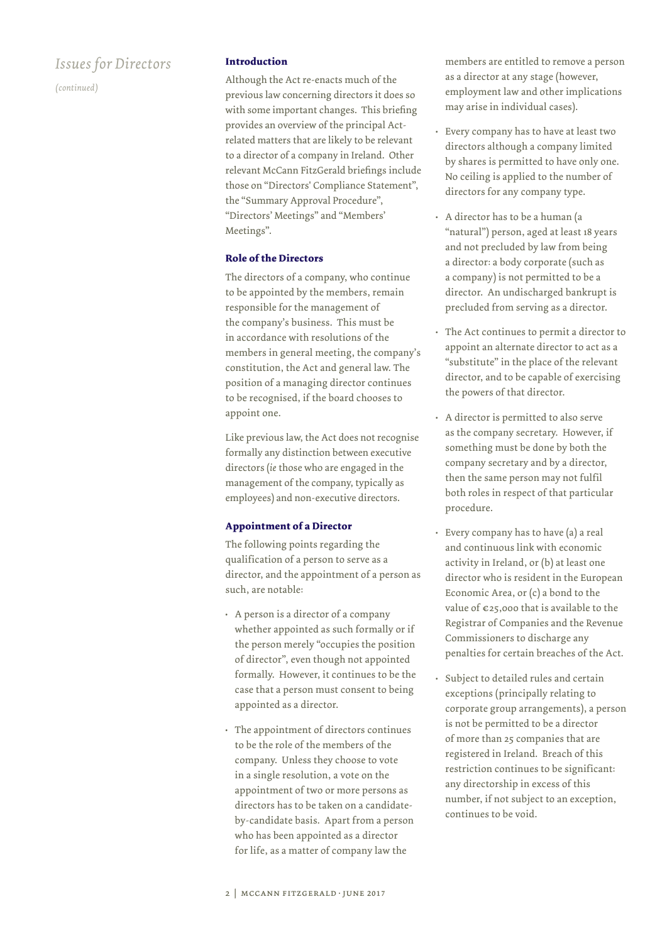*(continued)*

#### **Introduction**

Although the Act re-enacts much of the previous law concerning directors it does so with some important changes. This briefing provides an overview of the principal Actrelated matters that are likely to be relevant to a director of a company in Ireland. Other relevant McCann FitzGerald briefings include those on "Directors' Compliance Statement", the "Summary Approval Procedure", "Directors' Meetings" and "Members' Meetings".

#### **Role of the Directors**

The directors of a company, who continue to be appointed by the members, remain responsible for the management of the company's business. This must be in accordance with resolutions of the members in general meeting, the company's constitution, the Act and general law. The position of a managing director continues to be recognised, if the board chooses to appoint one.

Like previous law, the Act does not recognise formally any distinction between executive directors (*ie* those who are engaged in the management of the company, typically as employees) and non-executive directors.

#### **Appointment of a Director**

The following points regarding the qualification of a person to serve as a director, and the appointment of a person as such, are notable:

- A person is a director of a company whether appointed as such formally or if the person merely "occupies the position of director", even though not appointed formally. However, it continues to be the case that a person must consent to being appointed as a director.
- The appointment of directors continues to be the role of the members of the company. Unless they choose to vote in a single resolution, a vote on the appointment of two or more persons as directors has to be taken on a candidateby-candidate basis. Apart from a person who has been appointed as a director for life, as a matter of company law the

members are entitled to remove a person as a director at any stage (however, employment law and other implications may arise in individual cases).

- Every company has to have at least two directors although a company limited by shares is permitted to have only one. No ceiling is applied to the number of directors for any company type.
- A director has to be a human (a "natural") person, aged at least 18 years and not precluded by law from being a director: a body corporate (such as a company) is not permitted to be a director. An undischarged bankrupt is precluded from serving as a director.
- The Act continues to permit a director to appoint an alternate director to act as a "substitute" in the place of the relevant director, and to be capable of exercising the powers of that director.
- A director is permitted to also serve as the company secretary. However, if something must be done by both the company secretary and by a director, then the same person may not fulfil both roles in respect of that particular procedure.
- Every company has to have (a) a real and continuous link with economic activity in Ireland, or (b) at least one director who is resident in the European Economic Area, or (c) a bond to the value of  $\epsilon$ 25,000 that is available to the Registrar of Companies and the Revenue Commissioners to discharge any penalties for certain breaches of the Act.
- Subject to detailed rules and certain exceptions (principally relating to corporate group arrangements), a person is not be permitted to be a director of more than 25 companies that are registered in Ireland. Breach of this restriction continues to be significant: any directorship in excess of this number, if not subject to an exception, continues to be void.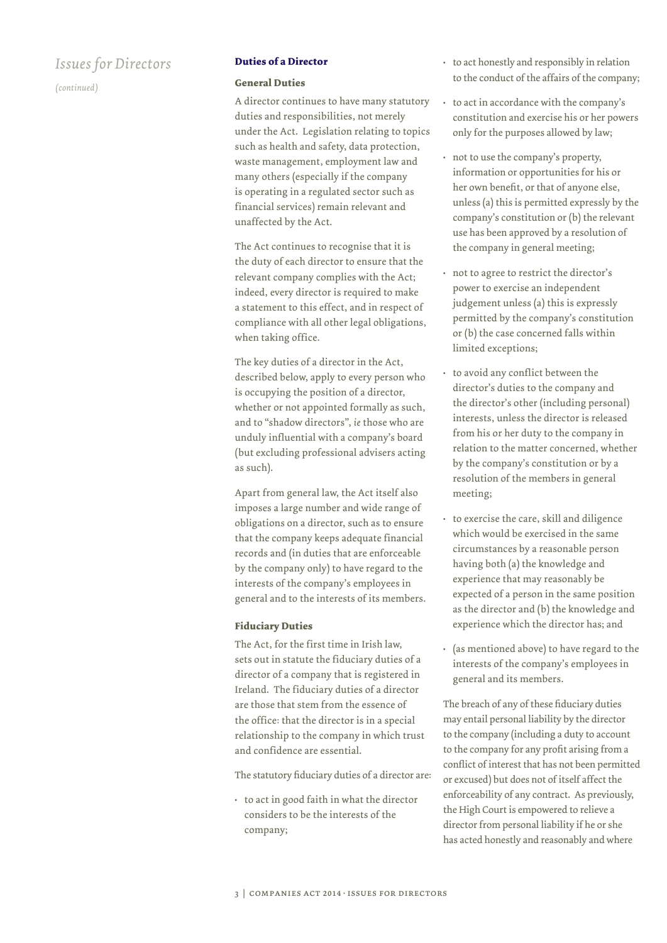*(continued)*

#### **Duties of a Director**

#### **General Duties**

A director continues to have many statutory duties and responsibilities, not merely under the Act. Legislation relating to topics such as health and safety, data protection, waste management, employment law and many others (especially if the company is operating in a regulated sector such as financial services) remain relevant and unaffected by the Act.

The Act continues to recognise that it is the duty of each director to ensure that the relevant company complies with the Act; indeed, every director is required to make a statement to this effect, and in respect of compliance with all other legal obligations, when taking office.

The key duties of a director in the Act, described below, apply to every person who is occupying the position of a director, whether or not appointed formally as such, and to "shadow directors", *ie* those who are unduly influential with a company's board (but excluding professional advisers acting as such).

Apart from general law, the Act itself also imposes a large number and wide range of obligations on a director, such as to ensure that the company keeps adequate financial records and (in duties that are enforceable by the company only) to have regard to the interests of the company's employees in general and to the interests of its members.

#### **Fiduciary Duties**

The Act, for the first time in Irish law, sets out in statute the fiduciary duties of a director of a company that is registered in Ireland. The fiduciary duties of a director are those that stem from the essence of the office: that the director is in a special relationship to the company in which trust and confidence are essential.

The statutory fiduciary duties of a director are:

• to act in good faith in what the director considers to be the interests of the company;

- to act honestly and responsibly in relation to the conduct of the affairs of the company;
- to act in accordance with the company's constitution and exercise his or her powers only for the purposes allowed by law;
- not to use the company's property, information or opportunities for his or her own benefit, or that of anyone else, unless (a) this is permitted expressly by the company's constitution or (b) the relevant use has been approved by a resolution of the company in general meeting;
- not to agree to restrict the director's power to exercise an independent judgement unless (a) this is expressly permitted by the company's constitution or (b) the case concerned falls within limited exceptions;
- to avoid any conflict between the director's duties to the company and the director's other (including personal) interests, unless the director is released from his or her duty to the company in relation to the matter concerned, whether by the company's constitution or by a resolution of the members in general meeting;
- to exercise the care, skill and diligence which would be exercised in the same circumstances by a reasonable person having both (a) the knowledge and experience that may reasonably be expected of a person in the same position as the director and (b) the knowledge and experience which the director has; and
- (as mentioned above) to have regard to the interests of the company's employees in general and its members.

The breach of any of these fiduciary duties may entail personal liability by the director to the company (including a duty to account to the company for any profit arising from a conflict of interest that has not been permitted or excused) but does not of itself affect the enforceability of any contract. As previously, the High Court is empowered to relieve a director from personal liability if he or she has acted honestly and reasonably and where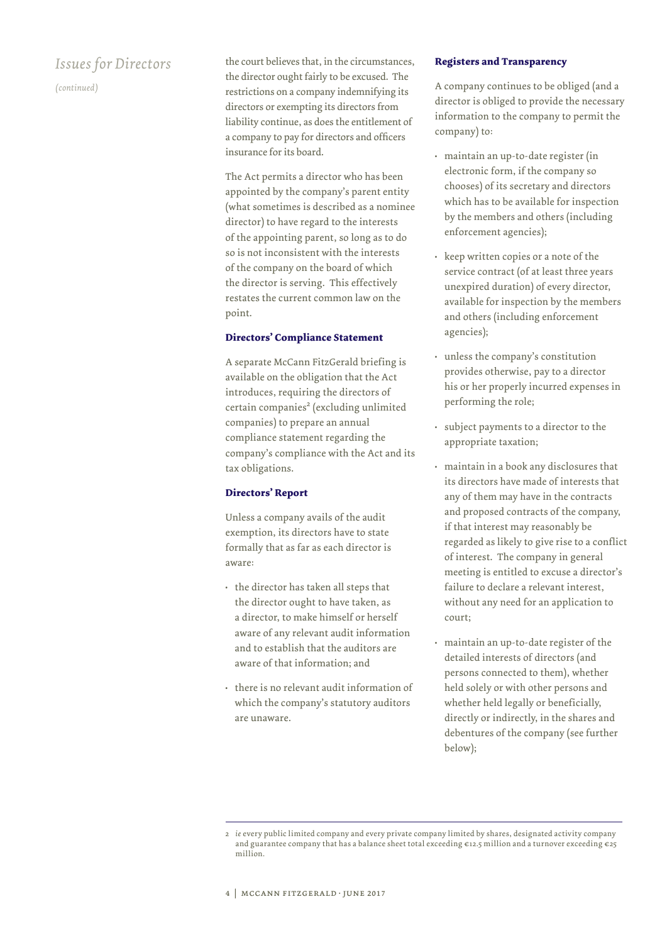*(continued)*

the court believes that, in the circumstances, the director ought fairly to be excused. The restrictions on a company indemnifying its directors or exempting its directors from liability continue, as does the entitlement of a company to pay for directors and officers insurance for its board.

The Act permits a director who has been appointed by the company's parent entity (what sometimes is described as a nominee director) to have regard to the interests of the appointing parent, so long as to do so is not inconsistent with the interests of the company on the board of which the director is serving. This effectively restates the current common law on the point.

#### **Directors' Compliance Statement**

A separate McCann FitzGerald briefing is available on the obligation that the Act introduces, requiring the directors of certain companies<sup>2</sup> (excluding unlimited companies) to prepare an annual compliance statement regarding the company's compliance with the Act and its tax obligations.

#### **Directors' Report**

Unless a company avails of the audit exemption, its directors have to state formally that as far as each director is aware:

- the director has taken all steps that the director ought to have taken, as a director, to make himself or herself aware of any relevant audit information and to establish that the auditors are aware of that information; and
- there is no relevant audit information of which the company's statutory auditors are unaware.

#### **Registers and Transparency**

A company continues to be obliged (and a director is obliged to provide the necessary information to the company to permit the company) to:

- maintain an up-to-date register (in electronic form, if the company so chooses) of its secretary and directors which has to be available for inspection by the members and others (including enforcement agencies);
- keep written copies or a note of the service contract (of at least three years unexpired duration) of every director, available for inspection by the members and others (including enforcement agencies);
- unless the company's constitution provides otherwise, pay to a director his or her properly incurred expenses in performing the role;
- subject payments to a director to the appropriate taxation;
- maintain in a book any disclosures that its directors have made of interests that any of them may have in the contracts and proposed contracts of the company, if that interest may reasonably be regarded as likely to give rise to a conflict of interest. The company in general meeting is entitled to excuse a director's failure to declare a relevant interest, without any need for an application to court;
- maintain an up-to-date register of the detailed interests of directors (and persons connected to them), whether held solely or with other persons and whether held legally or beneficially, directly or indirectly, in the shares and debentures of the company (see further below);

<sup>2</sup> *ie* every public limited company and every private company limited by shares, designated activity company and guarantee company that has a balance sheet total exceeding €12.5 million and a turnover exceeding €25 million.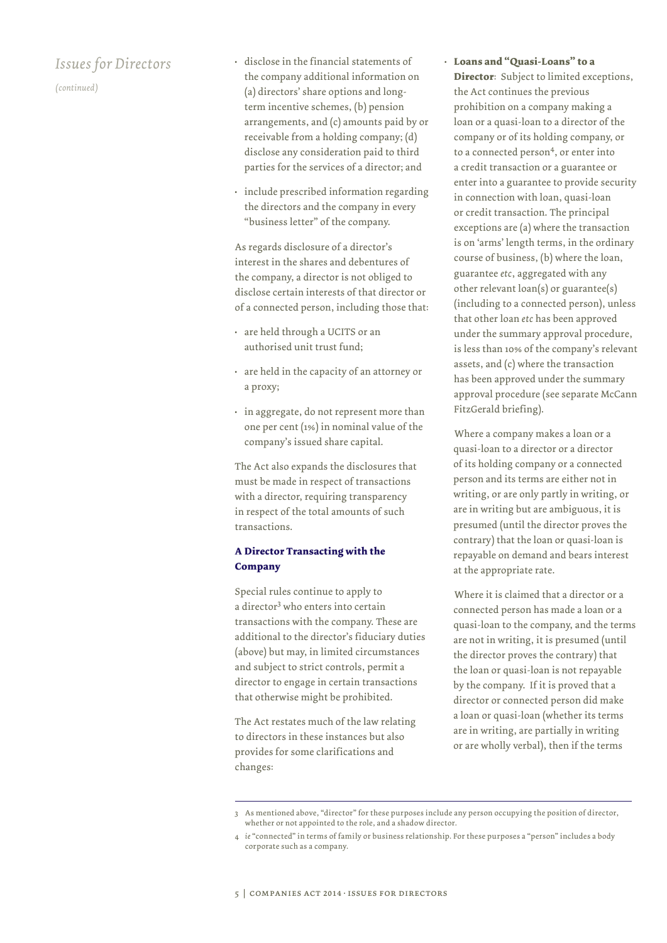*(continued)*

- disclose in the financial statements of the company additional information on (a) directors' share options and longterm incentive schemes, (b) pension arrangements, and (c) amounts paid by or receivable from a holding company; (d) disclose any consideration paid to third parties for the services of a director; and
- include prescribed information regarding the directors and the company in every "business letter" of the company.

As regards disclosure of a director's interest in the shares and debentures of the company, a director is not obliged to disclose certain interests of that director or of a connected person, including those that:

- are held through a UCITS or an authorised unit trust fund;
- are held in the capacity of an attorney or a proxy;
- in aggregate, do not represent more than one per cent (1%) in nominal value of the company's issued share capital.

The Act also expands the disclosures that must be made in respect of transactions with a director, requiring transparency in respect of the total amounts of such transactions.

#### **A Director Transacting with the Company**

Special rules continue to apply to a director<sup>3</sup> who enters into certain transactions with the company. These are additional to the director's fiduciary duties (above) but may, in limited circumstances and subject to strict controls, permit a director to engage in certain transactions that otherwise might be prohibited.

The Act restates much of the law relating to directors in these instances but also provides for some clarifications and changes:

• **Loans and "Quasi-Loans" to a Director**: Subject to limited exceptions, the Act continues the previous prohibition on a company making a loan or a quasi-loan to a director of the company or of its holding company, or to a connected person<sup>4</sup>, or enter into a credit transaction or a guarantee or enter into a guarantee to provide security in connection with loan, quasi-loan or credit transaction. The principal exceptions are (a) where the transaction is on 'arms' length terms, in the ordinary course of business, (b) where the loan, guarantee *etc*, aggregated with any other relevant loan(s) or guarantee(s) (including to a connected person), unless that other loan *etc* has been approved under the summary approval procedure, is less than 10% of the company's relevant assets, and (c) where the transaction has been approved under the summary approval procedure (see separate McCann FitzGerald briefing).

Where a company makes a loan or a quasi-loan to a director or a director of its holding company or a connected person and its terms are either not in writing, or are only partly in writing, or are in writing but are ambiguous, it is presumed (until the director proves the contrary) that the loan or quasi-loan is repayable on demand and bears interest at the appropriate rate.

Where it is claimed that a director or a connected person has made a loan or a quasi-loan to the company, and the terms are not in writing, it is presumed (until the director proves the contrary) that the loan or quasi-loan is not repayable by the company. If it is proved that a director or connected person did make a loan or quasi-loan (whether its terms are in writing, are partially in writing or are wholly verbal), then if the terms

<sup>3</sup> As mentioned above, "director" for these purposes include any person occupying the position of director, whether or not appointed to the role, and a shadow director.

<sup>4</sup> *ie* "connected" in terms of family or business relationship. For these purposes a "person" includes a body corporate such as a company.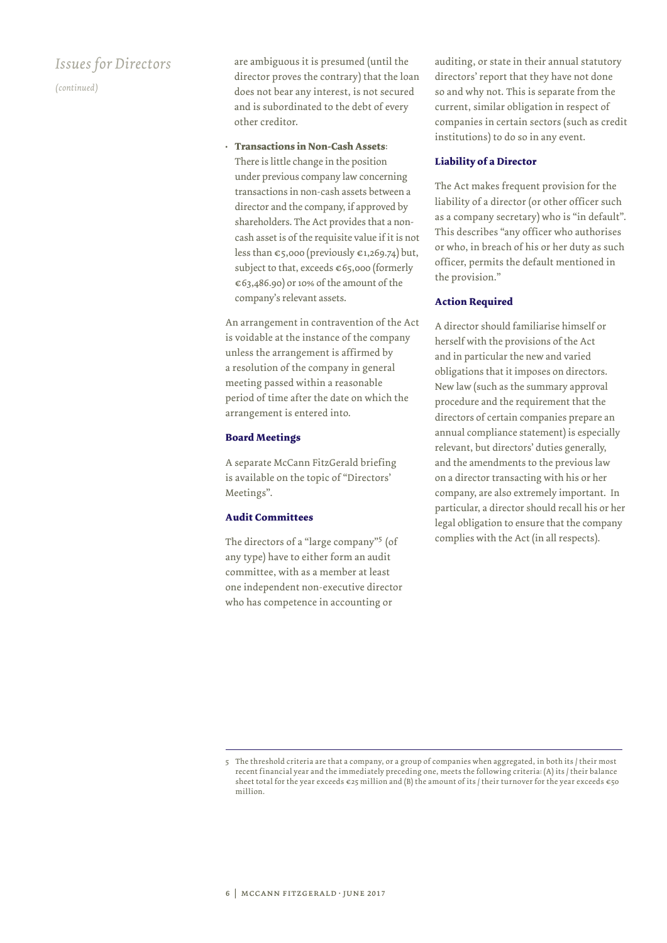*(continued)*

are ambiguous it is presumed (until the director proves the contrary) that the loan does not bear any interest, is not secured and is subordinated to the debt of every other creditor.

• **Transactions in Non-Cash Assets**:

There is little change in the position under previous company law concerning transactions in non-cash assets between a director and the company, if approved by shareholders. The Act provides that a noncash asset is of the requisite value if it is not less than  $\epsilon$ 5,000 (previously  $\epsilon$ 1,269.74) but, subject to that, exceeds  $\epsilon$ 65,000 (formerly €63,486.90) or 10% of the amount of the company's relevant assets.

An arrangement in contravention of the Act is voidable at the instance of the company unless the arrangement is affirmed by a resolution of the company in general meeting passed within a reasonable period of time after the date on which the arrangement is entered into.

#### **Board Meetings**

A separate McCann FitzGerald briefing is available on the topic of "Directors' Meetings".

#### **Audit Committees**

The directors of a "large company"<sup>5</sup> (of any type) have to either form an audit committee, with as a member at least one independent non-executive director who has competence in accounting or

auditing, or state in their annual statutory directors' report that they have not done so and why not. This is separate from the current, similar obligation in respect of companies in certain sectors (such as credit institutions) to do so in any event.

#### **Liability of a Director**

The Act makes frequent provision for the liability of a director (or other officer such as a company secretary) who is "in default". This describes "any officer who authorises or who, in breach of his or her duty as such officer, permits the default mentioned in the provision."

#### **Action Required**

A director should familiarise himself or herself with the provisions of the Act and in particular the new and varied obligations that it imposes on directors. New law (such as the summary approval procedure and the requirement that the directors of certain companies prepare an annual compliance statement) is especially relevant, but directors' duties generally, and the amendments to the previous law on a director transacting with his or her company, are also extremely important. In particular, a director should recall his or her legal obligation to ensure that the company complies with the Act (in all respects).

<sup>5</sup> The threshold criteria are that a company, or a group of companies when aggregated, in both its / their most recent financial year and the immediately preceding one, meets the following criteria: (A) its / their balance sheet total for the year exceeds  $\varepsilon$ 25 million and (B) the amount of its / their turnover for the year exceeds  $\varepsilon$ 50 million.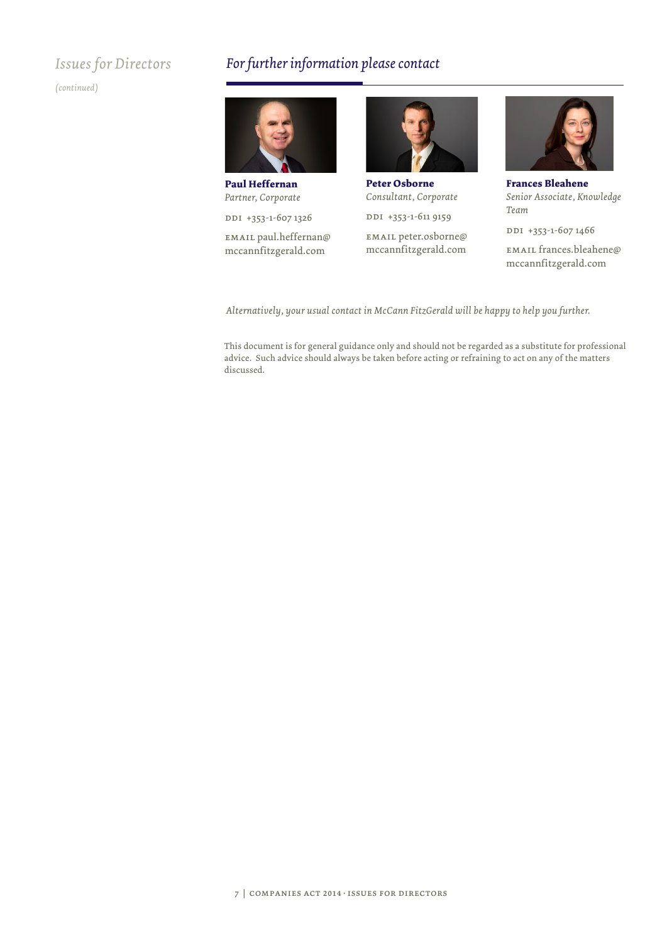*(continued)*

## *For further information please contact*



**Paul Heffernan** *Partner, Corporate*

DDI +353-1-607 1326

email paul.heffernan@ mccannfitzgerald.com



**Peter Osborne** *Consultant, Corporate*

DDI +353-1-611 9159

email peter.osborne@ mccannfitzgerald.com



**Frances Bleahene** *Senior Associate, Knowledge Team*

DDI +353-1-607 1466

email frances.bleahene@ mccannfitzgerald.com

*Alternatively, your usual contact in McCann FitzGerald will be happy to help you further.*

This document is for general guidance only and should not be regarded as a substitute for professional advice. Such advice should always be taken before acting or refraining to act on any of the matters discussed.